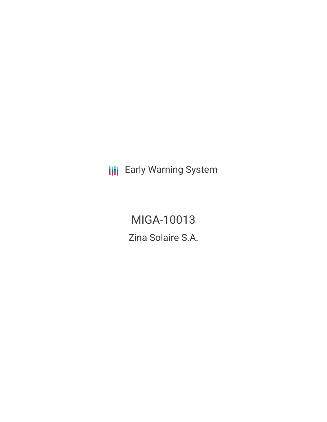**III** Early Warning System

MIGA-10013 Zina Solaire S.A.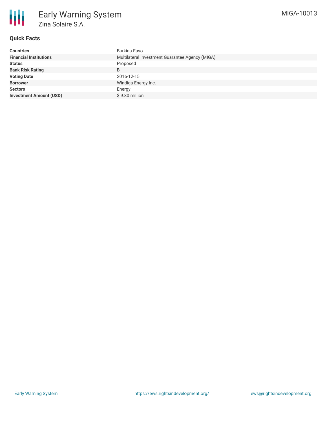

# **Quick Facts**

| <b>Countries</b>               | Burkina Faso                                    |
|--------------------------------|-------------------------------------------------|
| <b>Financial Institutions</b>  | Multilateral Investment Guarantee Agency (MIGA) |
| <b>Status</b>                  | Proposed                                        |
| <b>Bank Risk Rating</b>        | B                                               |
| <b>Voting Date</b>             | 2016-12-15                                      |
| <b>Borrower</b>                | Windiga Energy Inc.                             |
| <b>Sectors</b>                 | Energy                                          |
| <b>Investment Amount (USD)</b> | \$9.80 million                                  |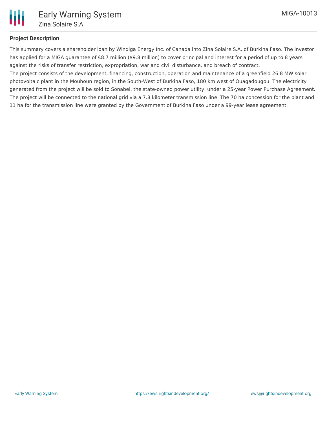

## **Project Description**

This summary covers a shareholder loan by Windiga Energy Inc. of Canada into Zina Solaire S.A. of Burkina Faso. The investor has applied for a MIGA guarantee of €8.7 million (\$9.8 million) to cover principal and interest for a period of up to 8 years against the risks of transfer restriction, expropriation, war and civil disturbance, and breach of contract.

The project consists of the development, financing, construction, operation and maintenance of a greenfield 26.8 MW solar photovoltaic plant in the Mouhoun region, in the South-West of Burkina Faso, 180 km west of Ouagadougou. The electricity generated from the project will be sold to Sonabel, the state-owned power utility, under a 25-year Power Purchase Agreement. The project will be connected to the national grid via a 7.8 kilometer transmission line. The 70 ha concession for the plant and 11 ha for the transmission line were granted by the Government of Burkina Faso under a 99-year lease agreement.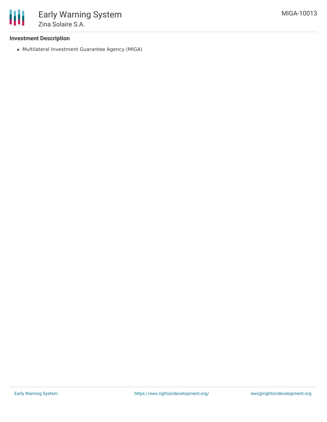

## **Investment Description**

Multilateral Investment Guarantee Agency (MIGA)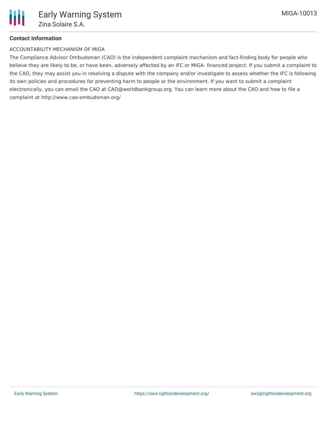# **Contact Information**

## ACCOUNTABILITY MECHANISM OF MIGA

The Compliance Advisor Ombudsman (CAO) is the independent complaint mechanism and fact-finding body for people who believe they are likely to be, or have been, adversely affected by an IFC or MIGA- financed project. If you submit a complaint to the CAO, they may assist you in resolving a dispute with the company and/or investigate to assess whether the IFC is following its own policies and procedures for preventing harm to people or the environment. If you want to submit a complaint electronically, you can email the CAO at CAO@worldbankgroup.org. You can learn more about the CAO and how to file a complaint at http://www.cao-ombudsman.org/